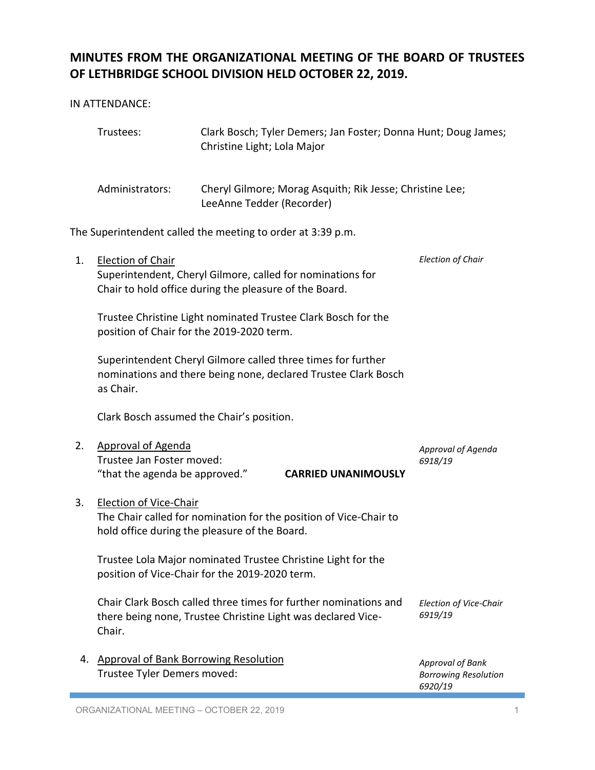## **MINUTES FROM THE ORGANIZATIONAL MEETING OF THE BOARD OF TRUSTEES OF LETHBRIDGE SCHOOL DIVISION HELD OCTOBER 22, 2019.**

IN ATTENDANCE:

|    | Trustees:                                                                                                                                           | Christine Light; Lola Major | Clark Bosch; Tyler Demers; Jan Foster; Donna Hunt; Doug James;                                                                   |                                                            |
|----|-----------------------------------------------------------------------------------------------------------------------------------------------------|-----------------------------|----------------------------------------------------------------------------------------------------------------------------------|------------------------------------------------------------|
|    | Administrators:                                                                                                                                     | LeeAnne Tedder (Recorder)   | Cheryl Gilmore; Morag Asquith; Rik Jesse; Christine Lee;                                                                         |                                                            |
|    | The Superintendent called the meeting to order at 3:39 p.m.                                                                                         |                             |                                                                                                                                  |                                                            |
| 1. | <b>Election of Chair</b><br>Chair to hold office during the pleasure of the Board.                                                                  |                             | Superintendent, Cheryl Gilmore, called for nominations for                                                                       | <b>Election of Chair</b>                                   |
|    | Trustee Christine Light nominated Trustee Clark Bosch for the<br>position of Chair for the 2019-2020 term.                                          |                             |                                                                                                                                  |                                                            |
|    | as Chair.                                                                                                                                           |                             | Superintendent Cheryl Gilmore called three times for further<br>nominations and there being none, declared Trustee Clark Bosch   |                                                            |
|    | Clark Bosch assumed the Chair's position.                                                                                                           |                             |                                                                                                                                  |                                                            |
| 2. | <b>Approval of Agenda</b><br>Trustee Jan Foster moved:<br>"that the agenda be approved."                                                            |                             | <b>CARRIED UNANIMOUSLY</b>                                                                                                       | Approval of Agenda<br>6918/19                              |
| 3. | <b>Election of Vice-Chair</b><br>The Chair called for nomination for the position of Vice-Chair to<br>hold office during the pleasure of the Board. |                             |                                                                                                                                  |                                                            |
|    | position of Vice-Chair for the 2019-2020 term.                                                                                                      |                             | Trustee Lola Major nominated Trustee Christine Light for the                                                                     |                                                            |
|    | Chair.                                                                                                                                              |                             | Chair Clark Bosch called three times for further nominations and<br>there being none, Trustee Christine Light was declared Vice- | Election of Vice-Chair<br>6919/19                          |
| 4. | <b>Approval of Bank Borrowing Resolution</b><br>Trustee Tyler Demers moved:                                                                         |                             |                                                                                                                                  | Approval of Bank<br><b>Borrowing Resolution</b><br>6920/19 |

ORGANIZATIONAL MEETING – OCTOBER 22, 2019 1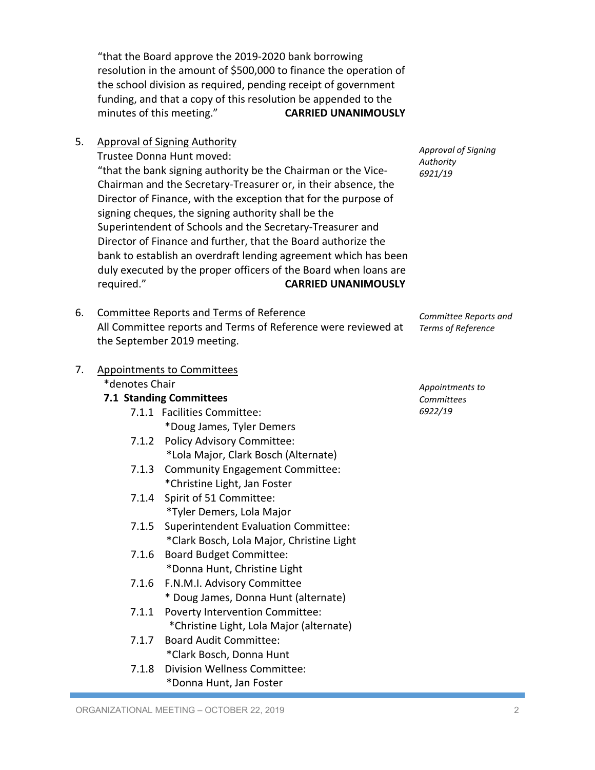"that the Board approve the 2019-2020 bank borrowing resolution in the amount of \$500,000 to finance the operation of the school division as required, pending receipt of government funding, and that a copy of this resolution be appended to the minutes of this meeting." **CARRIED UNANIMOUSLY**

5. Approval of Signing Authority

Trustee Donna Hunt moved:

"that the bank signing authority be the Chairman or the Vice-Chairman and the Secretary-Treasurer or, in their absence, the Director of Finance, with the exception that for the purpose of signing cheques, the signing authority shall be the Superintendent of Schools and the Secretary-Treasurer and Director of Finance and further, that the Board authorize the bank to establish an overdraft lending agreement which has been duly executed by the proper officers of the Board when loans are required." **CARRIED UNANIMOUSLY**

6. Committee Reports and Terms of Reference All Committee reports and Terms of Reference were reviewed at the September 2019 meeting.

| 7. | <b>Appointments to Committees</b> |                                             |  |  |
|----|-----------------------------------|---------------------------------------------|--|--|
|    |                                   | *denotes Chair<br>7.1 Standing Committees   |  |  |
|    |                                   |                                             |  |  |
|    |                                   | 7.1.1 Facilities Committee:                 |  |  |
|    |                                   | *Doug James, Tyler Demers                   |  |  |
|    |                                   | 7.1.2 Policy Advisory Committee:            |  |  |
|    |                                   | *Lola Major, Clark Bosch (Alternate)        |  |  |
|    |                                   | 7.1.3 Community Engagement Committee:       |  |  |
|    |                                   | *Christine Light, Jan Foster                |  |  |
|    | 7.1.4                             | Spirit of 51 Committee:                     |  |  |
|    |                                   | *Tyler Demers, Lola Major                   |  |  |
|    | 7.1.5                             | <b>Superintendent Evaluation Committee:</b> |  |  |
|    |                                   | *Clark Bosch, Lola Major, Christine Light   |  |  |
|    | 7.1.6                             | <b>Board Budget Committee:</b>              |  |  |
|    |                                   | *Donna Hunt, Christine Light                |  |  |
|    | 7.1.6                             | F.N.M.I. Advisory Committee                 |  |  |
|    |                                   | * Doug James, Donna Hunt (alternate)        |  |  |
|    | 7.1.1                             | <b>Poverty Intervention Committee:</b>      |  |  |
|    |                                   | *Christine Light, Lola Major (alternate)    |  |  |
|    | 7.1.7                             | <b>Board Audit Committee:</b>               |  |  |

\*Clark Bosch, Donna Hunt 7.1.8 Division Wellness Committee: \*Donna Hunt, Jan Foster

*Approval of Signing* 

*Authority 6921/19*

*Committee Reports and Terms of Reference*

*Appointments to Committees 6922/19*